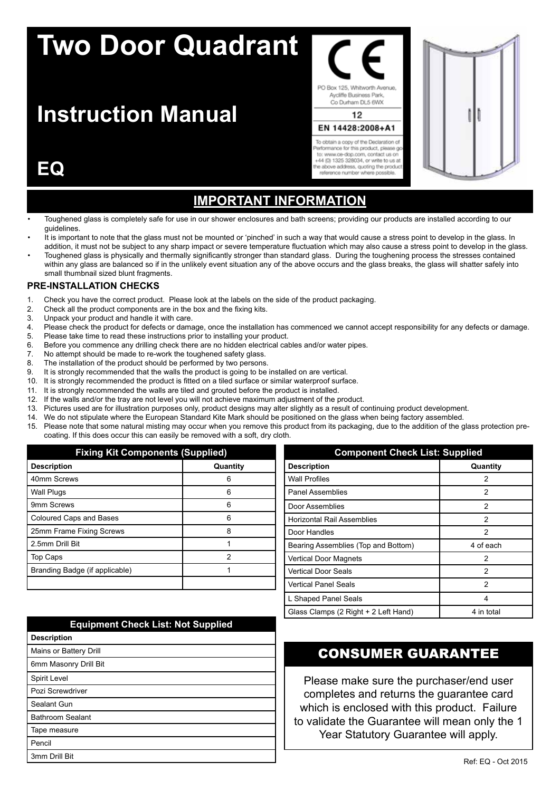# **Two Door Quadrant**

## **Instruction Manual**

#### PO Box 125, Whitworth Avenue. Aycliffe Business Park Co Durham DL5 6WX 12 EN 14428:2008+A1

To obtain a copy of the Declaration of erformance for this product, please go to: www.ce-dop.com. contact us or +44 (0) 1325 328034, or write to us at<br>the above address, quoting the product reference number where possible

## **EQ**

## **Important Information**

- Toughened glass is completely safe for use in our shower enclosures and bath screens; providing our products are installed according to our guidelines.
- It is important to note that the glass must not be mounted or 'pinched' in such a way that would cause a stress point to develop in the glass. In addition, it must not be subject to any sharp impact or severe temperature fluctuation which may also cause a stress point to develop in the glass.
- Toughened glass is physically and thermally significantly stronger than standard glass. During the toughening process the stresses contained within any glass are balanced so if in the unlikely event situation any of the above occurs and the glass breaks, the glass will shatter safely into small thumbnail sized blunt fragments.

#### **PRE-INSTALLATION CHECKS**

- 1. Check you have the correct product. Please look at the labels on the side of the product packaging.
- 2. Check all the product components are in the box and the fixing kits.
- 3. Unpack your product and handle it with care.<br>4. Please check the product for defects or dama
- Please check the product for defects or damage, once the installation has commenced we cannot accept responsibility for any defects or damage.
- 5. Please take time to read these instructions prior to installing your product.
- 6. Before you commence any drilling check there are no hidden electrical cables and/or water pipes.
- 7. No attempt should be made to re-work the toughened safety glass.<br>8. The installation of the product should be performed by two persons
- The installation of the product should be performed by two persons.
- 9. It is strongly recommended that the walls the product is going to be installed on are vertical.
- 10. It is strongly recommended the product is fitted on a tiled surface or similar waterproof surface.
- 11. It is strongly recommended the walls are tiled and grouted before the product is installed.
- 12. If the walls and/or the tray are not level you will not achieve maximum adjustment of the product.
- 13. Pictures used are for illustration purposes only, product designs may alter slightly as a result of continuing product development.
- 14. We do not stipulate where the European Standard Kite Mark should be positioned on the glass when being factory assembled.
- 15. Please note that some natural misting may occur when you remove this product from its packaging, due to the addition of the glass protection precoating. If this does occur this can easily be removed with a soft, dry cloth.

| <b>Fixing Kit Components (Supplied)</b> |          |
|-----------------------------------------|----------|
| <b>Description</b>                      | Quantity |
| 40mm Screws                             | Բ        |
| <b>Wall Plugs</b>                       | 6        |
| 9mm Screws                              | հ        |
| Coloured Caps and Bases                 | ค        |
| 25mm Frame Fixing Screws                | 8        |
| 2.5mm Drill Bit                         |          |
| Top Caps                                | 2        |
| Branding Badge (if applicable)          |          |
|                                         |          |

| <b>Equipment Check List: Not Supplied</b> |
|-------------------------------------------|
| <b>Description</b>                        |
| Mains or Battery Drill                    |
| 6mm Masonry Drill Bit                     |
| Spirit Level                              |
| Pozi Screwdriver                          |
| Sealant Gun                               |
| <b>Bathroom Sealant</b>                   |
| Tape measure                              |
| Pencil                                    |
| 3mm Drill Bit                             |

#### **Component Check List: Supplied Description Quantity** Wall Profiles 2 Panel Assemblies 2 Door Assemblies 2 Horizontal Rail Assemblies **2** and 2 Door Handles 2 Bearing Assemblies (Top and Bottom) 4 of each Vertical Door Magnets 2 Vertical Door Seals 2 Vertical Panel Seals 2 L Shaped Panel Seals 4 Glass Clamps (2 Right + 2 Left Hand) 4 in total

#### CONSUMER GUARANTEE

Please make sure the purchaser/end user completes and returns the guarantee card which is enclosed with this product. Failure to validate the Guarantee will mean only the 1 Year Statutory Guarantee will apply.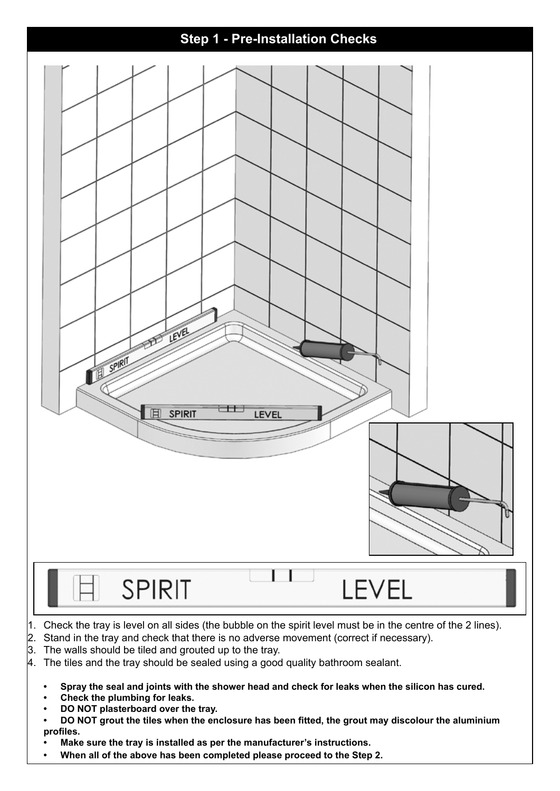

- $4.$  The tiles and the tray should be sealed using a good quality bathroom sealant.
	- Spray the seal and joints with the shower head and check for leaks when the silicon has cured.
	- **Check the plumbing for leaks.**
	- **DO NOT** plasterboard over the tray.
	- DO NOT grout the tiles when the enclosure has been fitted, the grout may discolour the aluminium **profiles.**
	- **• Make sure the tray is installed as per the manufacturer's instructions.**
	- When all of the above has been completed please proceed to the Step 2.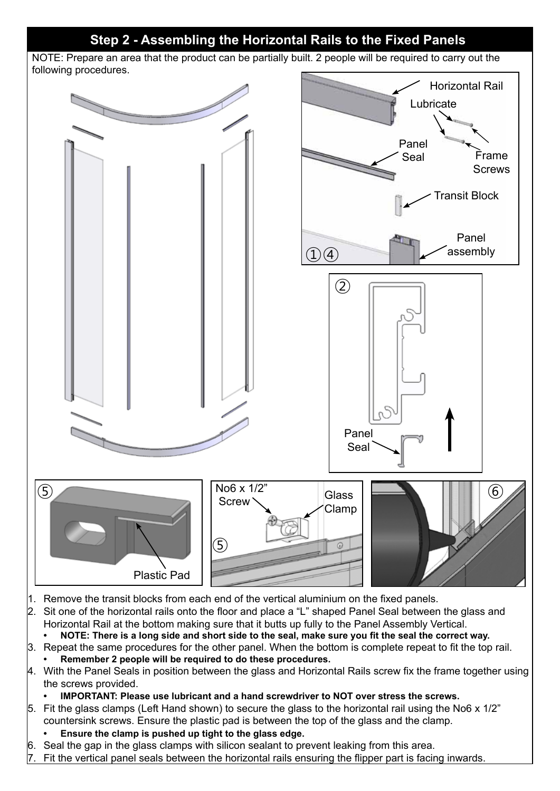#### **Step 2 - Assembling the Horizontal Rails to the Fixed Panels**

NOTE: Prepare an area that the product can be partially built. 2 people will be required to carry out the following procedures.



- 1. Remove the transit blocks from each end of the vertical aluminium on the fixed panels.
- 2. Sit one of the horizontal rails onto the floor and place a "L" shaped Panel Seal between the glass and Horizontal Rail at the bottom making sure that it butts up fully to the Panel Assembly Vertical.
	- NOTE: There is a long side and short side to the seal, make sure you fit the seal the correct way.
- 3. Repeat the same procedures for the other panel. When the bottom is complete repeat to fit the top rail. **• Remember 2 people will be required to do these procedures.**
- 4. With the Panel Seals in position between the glass and Horizontal Rails screw fix the frame together using the screws provided.
	- **IMPORTANT: Please use lubricant and a hand screwdriver to NOT over stress the screws.**
- 5. Fit the glass clamps (Left Hand shown) to secure the glass to the horizontal rail using the No6 x 1/2" countersink screws. Ensure the plastic pad is between the top of the glass and the clamp.
	- Ensure the clamp is pushed up tight to the glass edge.
- 6. Seal the gap in the glass clamps with silicon sealant to prevent leaking from this area.
- Fit the vertical panel seals between the horizontal rails ensuring the flipper part is facing inwards.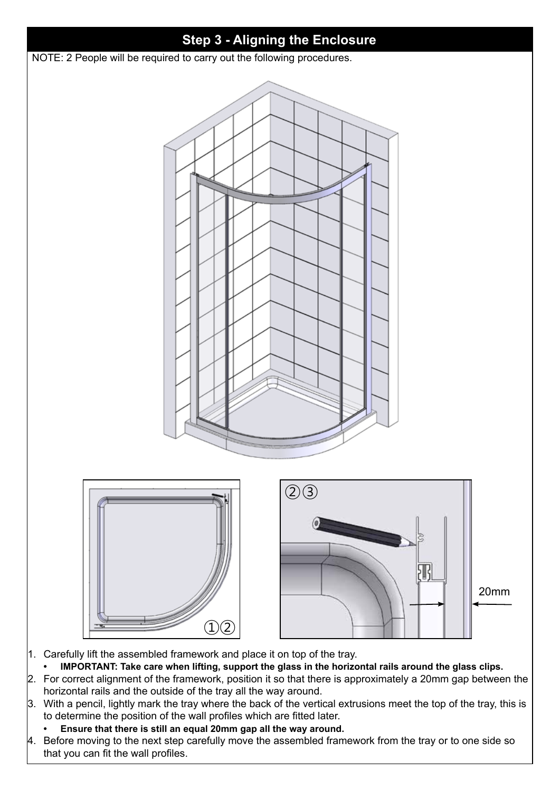

- **• IMPORTANT: Take care when lifting, support the glass in the horizontal rails around the glass clips.** 2. For correct alignment of the framework, position it so that there is approximately a 20mm gap between the
- horizontal rails and the outside of the tray all the way around.
- 3. With a pencil, lightly mark the tray where the back of the vertical extrusions meet the top of the tray, this is to determine the position of the wall profiles which are fitted later.
	- **• Ensure that there is still an equal 20mm gap all the way around.**
- 4. Before moving to the next step carefully move the assembled framework from the tray or to one side so that you can fit the wall profiles.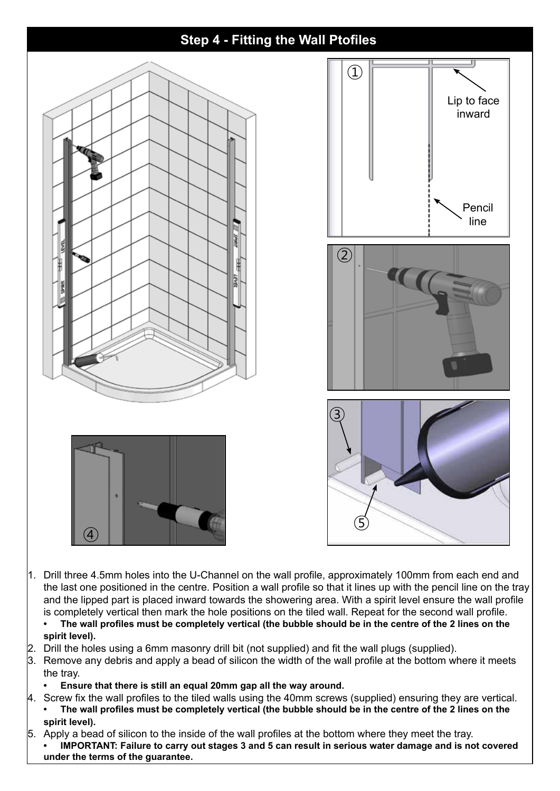

- the last one positioned in the centre. Position a wall profile so that it lines up with the pencil line on the tray and the lipped part is placed inward towards the showering area. With a spirit level ensure the wall profile is completely vertical then mark the hole positions on the tiled wall. Repeat for the second wall profile.
- The wall profiles must be completely vertical (the bubble should be in the centre of the 2 lines on the **spirit level).**
- 2. Drill the holes using a 6mm masonry drill bit (not supplied) and fit the wall plugs (supplied).
- 3. Remove any debris and apply a bead of silicon the width of the wall profile at the bottom where it meets the tray.
	- **Ensure that there is still an equal 20mm gap all the way around.**
- 4. Screw fix the wall profiles to the tiled walls using the 40mm screws (supplied) ensuring they are vertical. The wall profiles must be completely vertical (the bubble should be in the centre of the 2 lines on the **spirit level).**
- 5. Apply a bead of silicon to the inside of the wall profiles at the bottom where they meet the tray. **IMPORTANT: Failure to carry out stages 3 and 5 can result in serious water damage and is not covered under the terms of the guarantee.**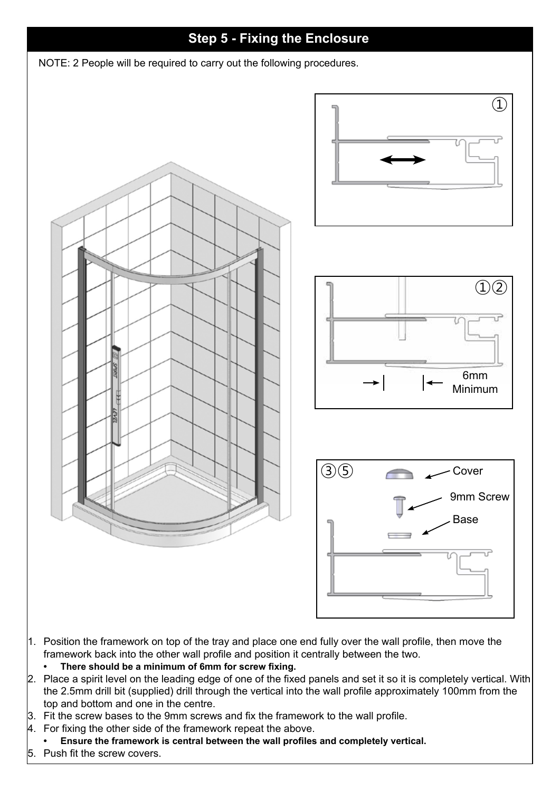

- 1. Position the framework on top of the tray and place one end fully over the wall profile, then move the framework back into the other wall profile and position it centrally between the two.
	- **• There should be a minimum of 6mm for screw fixing.**
- 2. Place a spirit level on the leading edge of one of the fixed panels and set it so it is completely vertical. With the 2.5mm drill bit (supplied) drill through the vertical into the wall profile approximately 100mm from the top and bottom and one in the centre.
- $\beta$ . Fit the screw bases to the 9mm screws and fix the framework to the wall profile.
- $\mu$ . For fixing the other side of the framework repeat the above.
- **• Ensure the framework is central between the wall profiles and completely vertical.**
- Push fit the screw covers.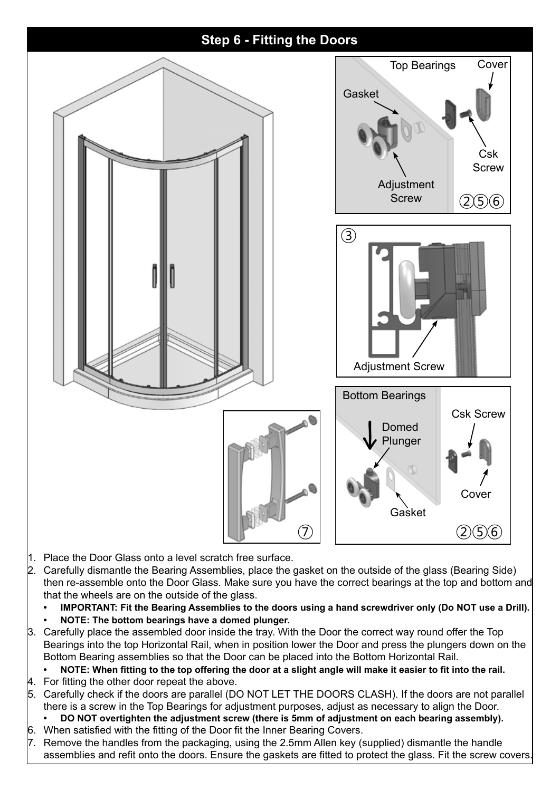

- 1. Place the Door Glass onto a level scratch free surface.
- 2. Carefully dismantle the Bearing Assemblies, place the gasket on the outside of the glass (Bearing Side) then re-assemble onto the Door Glass. Make sure you have the correct bearings at the top and bottom and that the wheels are on the outside of the glass.
	- **IMPORTANT: Fit the Bearing Assemblies to the doors using a hand screwdriver only (Do NOT use a Drill).**
	- **NOTE: The bottom bearings have a domed plunger.**
- 3. Carefully place the assembled door inside the tray. With the Door the correct way round offer the Top Bearings into the top Horizontal Rail, when in position lower the Door and press the plungers down on the Bottom Bearing assemblies so that the Door can be placed into the Bottom Horizontal Rail.

NOTE: When fitting to the top offering the door at a slight angle will make it easier to fit into the rail.

- $4.$  For fitting the other door repeat the above.
- 5. Carefully check if the doors are parallel (DO NOT LET THE DOORS CLASH). If the doors are not parallel there is a screw in the Top Bearings for adjustment purposes, adjust as necessary to align the Door.
- **DO** NOT overtighten the adjustment screw (there is 5mm of adjustment on each bearing assembly).
- 6. When satisfied with the fitting of the Door fit the Inner Bearing Covers.
- 7. Remove the handles from the packaging, using the 2.5mm Allen key (supplied) dismantle the handle assemblies and refit onto the doors. Ensure the gaskets are fitted to protect the glass. Fit the screw covers.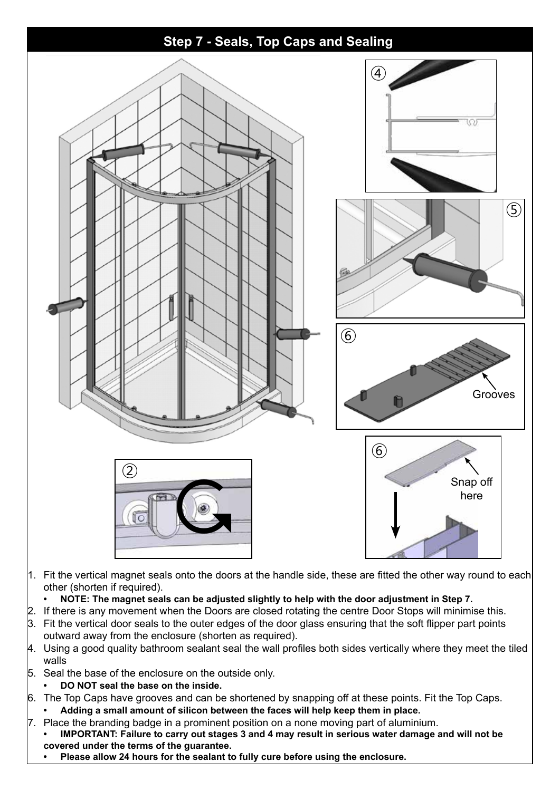

- 3. Fit the vertical door seals to the outer edges of the door glass ensuring that the soft flipper part points outward away from the enclosure (shorten as required).
- 4. Using a good quality bathroom sealant seal the wall profiles both sides vertically where they meet the tiled walls
- 5. Seal the base of the enclosure on the outside only.
- **• DO NOT seal the base on the inside.**
- 6. The Top Caps have grooves and can be shortened by snapping off at these points. Fit the Top Caps. Adding a small amount of silicon between the faces will help keep them in place.
- $7.$  Place the branding badge in a prominent position on a none moving part of aluminium. **IMPORTANT: Failure to carry out stages 3 and 4 may result in serious water damage and will not be covered under the terms of the guarantee.**
	- **• Please allow 24 hours for the sealant to fully cure before using the enclosure.**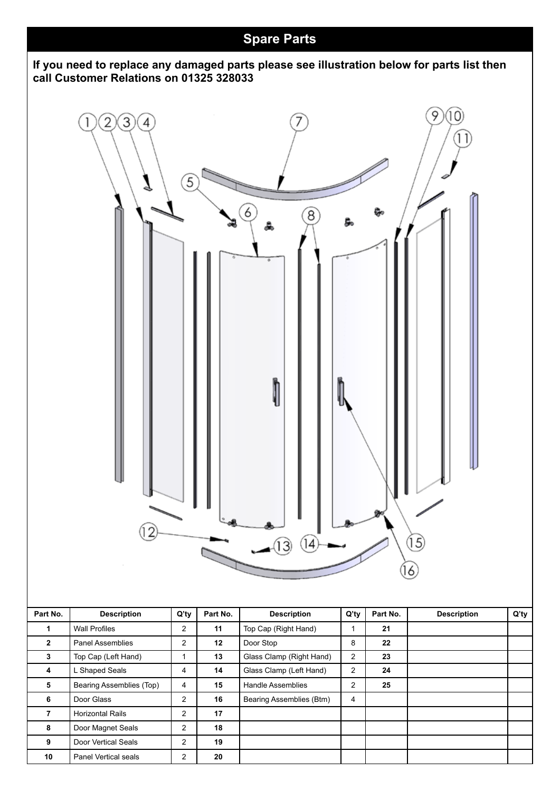#### **Spare Parts**

#### **If you need to replace any damaged parts please see illustration below for parts list then call Customer Relations on 01325 328033**

![](_page_8_Figure_2.jpeg)